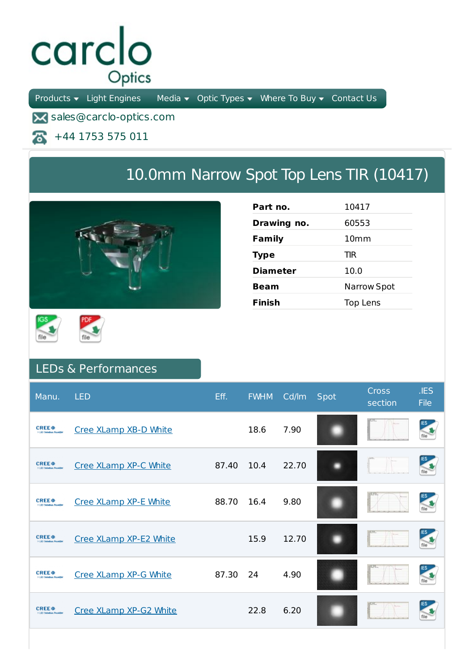## carclo Optics

Products  $\bullet$  Light Engines Media  $\bullet$  Optic Types  $\bullet$  Where To Buy  $\bullet$  Contact Us

**X** sales@carclo-optics.com

+44 1753 575 011 本

## 10.0mm Narrow Spot Top Lens TIR (10417)



| Part no.        | 10417              |
|-----------------|--------------------|
| Drawing no.     | 60553              |
| Family          | 10 <sub>mm</sub>   |
| <b>Type</b>     | TIR                |
| <b>Diameter</b> | 10.0               |
| Beam            | <b>Narrow Spot</b> |
| <b>Finish</b>   | Top Lens           |





## LEDs & Performances

| Manu.                                                                   | <b>LED</b>             | Eff.  | <b>FWHM</b> | Cd/lm | Spot | <b>Cross</b><br>section | .IES<br><b>File</b>  |
|-------------------------------------------------------------------------|------------------------|-------|-------------|-------|------|-------------------------|----------------------|
| <b>CREE</b> <sup><math>\oplus</math></sup><br>> 1.80 Saturdow, Provide  | Cree XLamp XB-D White  |       | 18.6        | 7.90  |      |                         |                      |
| <b>CREE</b> <sup><math>\oplus</math></sup>                              | Cree XLamp XP-C White  | 87.40 | 10.4        | 22.70 |      |                         | IES<br><b>Second</b> |
| <b>CREE</b> <sup><math>\oplus</math></sup><br>3-1-80 Salestine, Norado  | Cree XLamp XP-E White  | 88.70 | 16.4        | 9.80  |      |                         |                      |
| <b>CREE</b> <sup><math>\bullet</math></sup><br>3-140 Salesbury Provide  | Cree XLamp XP-E2 White |       | 15.9        | 12.70 |      |                         |                      |
| <b>CREE</b> <sup>e</sup>                                                | Cree XLamp XP-G White  | 87.30 | 24          | 4.90  |      |                         |                      |
| <b>CREE</b> <sup><math>\bullet</math></sup><br>5.1.80 Salestine, Novald | Cree XLamp XP-G2 White |       | 22.8        | 6.20  |      |                         |                      |